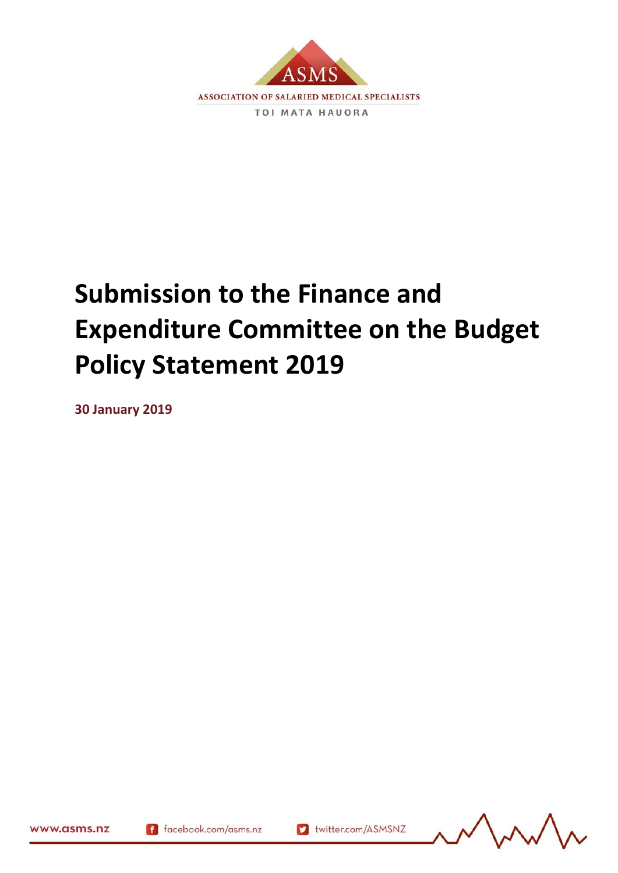

# **Submission to the Finance and Expenditure Committee on the Budget Policy Statement 2019**

**30 January 2019**

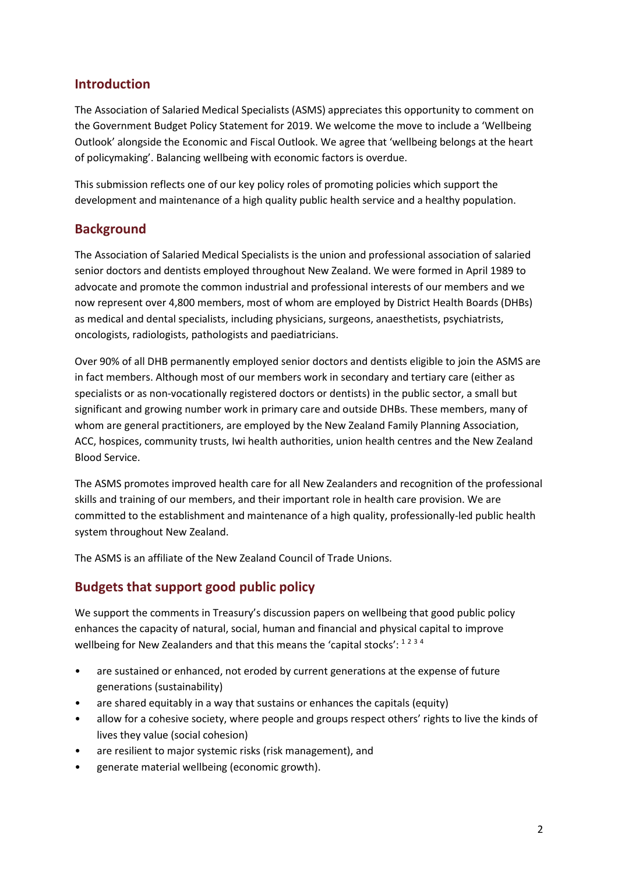## **Introduction**

The Association of Salaried Medical Specialists (ASMS) appreciates this opportunity to comment on the Government Budget Policy Statement for 2019. We welcome the move to include a 'Wellbeing Outlook' alongside the Economic and Fiscal Outlook. We agree that 'wellbeing belongs at the heart of policymaking'. Balancing wellbeing with economic factors is overdue.

This submission reflects one of our key policy roles of promoting policies which support the development and maintenance of a high quality public health service and a healthy population.

## **Background**

The Association of Salaried Medical Specialists is the union and professional association of salaried senior doctors and dentists employed throughout New Zealand. We were formed in April 1989 to advocate and promote the common industrial and professional interests of our members and we now represent over 4,800 members, most of whom are employed by District Health Boards (DHBs) as medical and dental specialists, including physicians, surgeons, anaesthetists, psychiatrists, oncologists, radiologists, pathologists and paediatricians.

Over 90% of all DHB permanently employed senior doctors and dentists eligible to join the ASMS are in fact members. Although most of our members work in secondary and tertiary care (either as specialists or as non-vocationally registered doctors or dentists) in the public sector, a small but significant and growing number work in primary care and outside DHBs. These members, many of whom are general practitioners, are employed by the New Zealand Family Planning Association, ACC, hospices, community trusts, Iwi health authorities, union health centres and the New Zealand Blood Service.

The ASMS promotes improved health care for all New Zealanders and recognition of the professional skills and training of our members, and their important role in health care provision. We are committed to the establishment and maintenance of a high quality, professionally-led public health system throughout New Zealand.

The ASMS is an affiliate of the New Zealand Council of Trade Unions.

# **Budgets that support good public policy**

We support the comments in Treasury's discussion papers on wellbeing that good public policy enhances the capacity of natural, social, human and financial and physical capital to improve wellbeing for New Zealanders and that this means the 'capital stocks': 1234

- are sustained or enhanced, not eroded by current generations at the expense of future generations (sustainability)
- are shared equitably in a way that sustains or enhances the capitals (equity)
- allow for a cohesive society, where people and groups respect others' rights to live the kinds of lives they value (social cohesion)
- are resilient to major systemic risks (risk management), and
- generate material wellbeing (economic growth).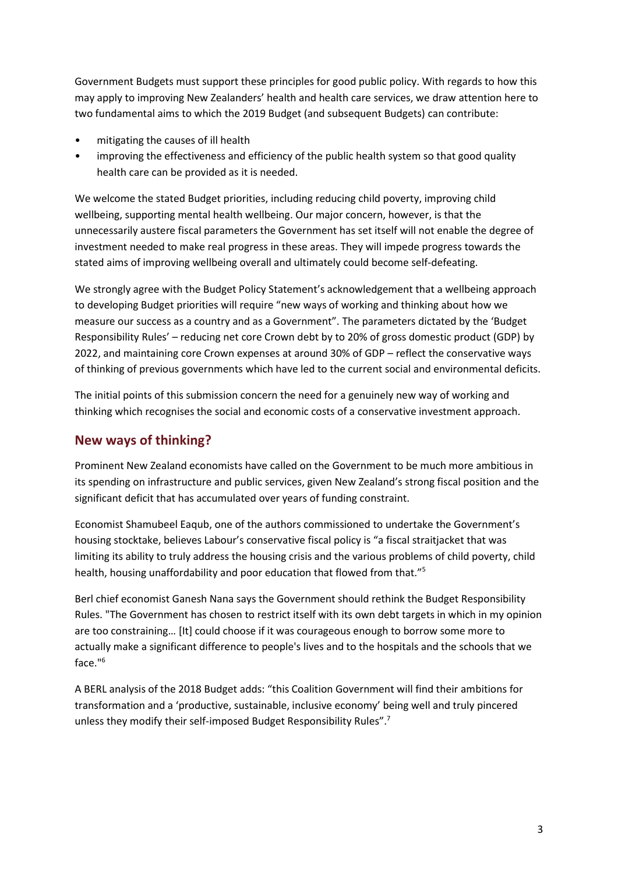Government Budgets must support these principles for good public policy. With regards to how this may apply to improving New Zealanders' health and health care services, we draw attention here to two fundamental aims to which the 2019 Budget (and subsequent Budgets) can contribute:

- mitigating the causes of ill health
- improving the effectiveness and efficiency of the public health system so that good quality health care can be provided as it is needed.

We welcome the stated Budget priorities, including reducing child poverty, improving child wellbeing, supporting mental health wellbeing. Our major concern, however, is that the unnecessarily austere fiscal parameters the Government has set itself will not enable the degree of investment needed to make real progress in these areas. They will impede progress towards the stated aims of improving wellbeing overall and ultimately could become self-defeating.

We strongly agree with the Budget Policy Statement's acknowledgement that a wellbeing approach to developing Budget priorities will require "new ways of working and thinking about how we measure our success as a country and as a Government". The parameters dictated by the 'Budget Responsibility Rules' – reducing net core Crown debt by to 20% of gross domestic product (GDP) by 2022, and maintaining core Crown expenses at around 30% of GDP – reflect the conservative ways of thinking of previous governments which have led to the current social and environmental deficits.

The initial points of this submission concern the need for a genuinely new way of working and thinking which recognises the social and economic costs of a conservative investment approach.

# **New ways of thinking?**

Prominent New Zealand economists have called on the Government to be much more ambitious in its spending on infrastructure and public services, given New Zealand's strong fiscal position and the significant deficit that has accumulated over years of funding constraint.

Economist Shamubeel Eaqub, one of the authors commissioned to undertake the Government's housing stocktake, believes Labour's conservative fiscal policy is "a fiscal straitjacket that was limiting its ability to truly address the housing crisis and the various problems of child poverty, child health, housing unaffordability and poor education that flowed from that."<sup>5</sup>

Berl chief economist Ganesh Nana says the Government should rethink the Budget Responsibility Rules. "The Government has chosen to restrict itself with its own debt targets in which in my opinion are too constraining… [It] could choose if it was courageous enough to borrow some more to actually make a significant difference to people's lives and to the hospitals and the schools that we face."<sup>6</sup>

A BERL analysis of the 2018 Budget adds: "this Coalition Government will find their ambitions for transformation and a 'productive, sustainable, inclusive economy' being well and truly pincered unless they modify their self-imposed Budget Responsibility Rules".7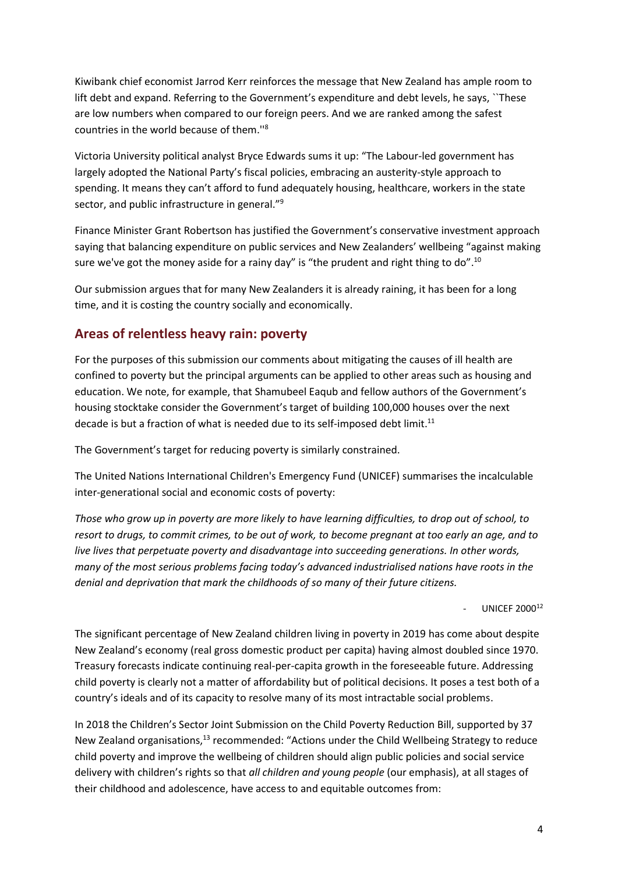Kiwibank chief economist Jarrod Kerr reinforces the message that New Zealand has ample room to lift debt and expand. Referring to the Government's expenditure and debt levels, he says, ``These are low numbers when compared to our foreign peers. And we are ranked among the safest countries in the world because of them.''<sup>8</sup>

Victoria University political analyst Bryce Edwards sums it up: "The Labour-led government has largely adopted the National Party's fiscal policies, embracing an austerity-style approach to spending. It means they can't afford to fund adequately housing, healthcare, workers in the state sector, and public infrastructure in general."<sup>9</sup>

Finance Minister Grant Robertson has justified the Government's conservative investment approach saying that balancing expenditure on public services and New Zealanders' wellbeing "against making sure we've got the money aside for a rainy day" is "the prudent and right thing to do".<sup>10</sup>

Our submission argues that for many New Zealanders it is already raining, it has been for a long time, and it is costing the country socially and economically.

## **Areas of relentless heavy rain: poverty**

For the purposes of this submission our comments about mitigating the causes of ill health are confined to poverty but the principal arguments can be applied to other areas such as housing and education. We note, for example, that Shamubeel Eaqub and fellow authors of the Government's housing stocktake consider the Government's target of building 100,000 houses over the next decade is but a fraction of what is needed due to its self-imposed debt limit.<sup>11</sup>

The Government's target for reducing poverty is similarly constrained.

The United Nations International Children's Emergency Fund (UNICEF) summarises the incalculable inter-generational social and economic costs of poverty:

*Those who grow up in poverty are more likely to have learning difficulties, to drop out of school, to resort to drugs, to commit crimes, to be out of work, to become pregnant at too early an age, and to live lives that perpetuate poverty and disadvantage into succeeding generations. In other words, many of the most serious problems facing today's advanced industrialised nations have roots in the denial and deprivation that mark the childhoods of so many of their future citizens.*

UNICEF 2000<sup>12</sup>

The significant percentage of New Zealand children living in poverty in 2019 has come about despite New Zealand's economy (real gross domestic product per capita) having almost doubled since 1970. Treasury forecasts indicate continuing real-per-capita growth in the foreseeable future. Addressing child poverty is clearly not a matter of affordability but of political decisions. It poses a test both of a country's ideals and of its capacity to resolve many of its most intractable social problems.

In 2018 the Children's Sector Joint Submission on the Child Poverty Reduction Bill, supported by 37 New Zealand organisations,<sup>13</sup> recommended: "Actions under the Child Wellbeing Strategy to reduce child poverty and improve the wellbeing of children should align public policies and social service delivery with children's rights so that *all children and young people* (our emphasis), at all stages of their childhood and adolescence, have access to and equitable outcomes from: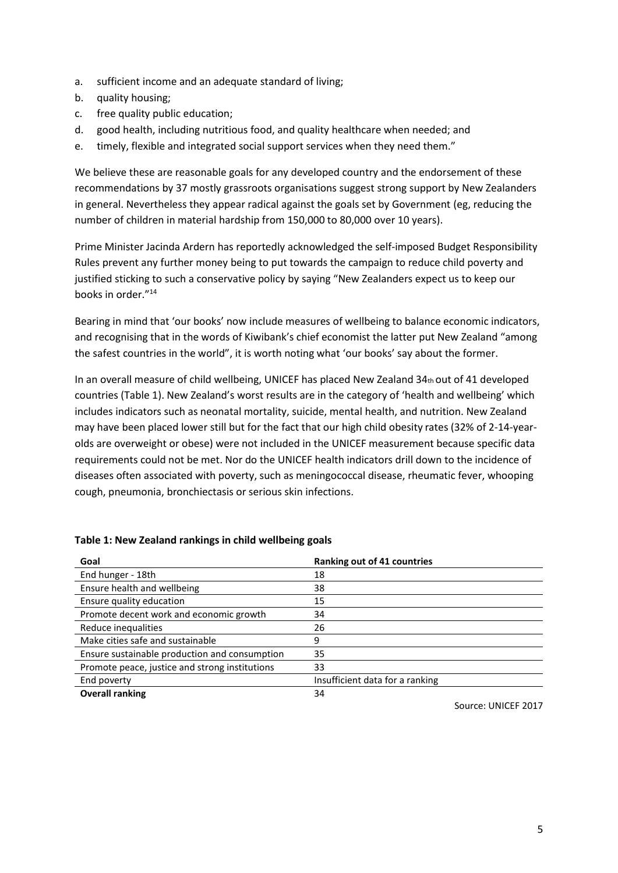- a. sufficient income and an adequate standard of living;
- b. quality housing;
- c. free quality public education;
- d. good health, including nutritious food, and quality healthcare when needed; and
- e. timely, flexible and integrated social support services when they need them."

We believe these are reasonable goals for any developed country and the endorsement of these recommendations by 37 mostly grassroots organisations suggest strong support by New Zealanders in general. Nevertheless they appear radical against the goals set by Government (eg, reducing the number of children in material hardship from 150,000 to 80,000 over 10 years).

Prime Minister Jacinda Ardern has reportedly acknowledged the self-imposed Budget Responsibility Rules prevent any further money being to put towards the campaign to reduce child poverty and justified sticking to such a conservative policy by saying "New Zealanders expect us to keep our books in order."<sup>14</sup>

Bearing in mind that 'our books' now include measures of wellbeing to balance economic indicators, and recognising that in the words of Kiwibank's chief economist the latter put New Zealand "among the safest countries in the world", it is worth noting what 'our books' say about the former.

In an overall measure of child wellbeing, UNICEF has placed New Zealand 34th out of 41 developed countries (Table 1). New Zealand's worst results are in the category of 'health and wellbeing' which includes indicators such as neonatal mortality, suicide, mental health, and nutrition. New Zealand may have been placed lower still but for the fact that our high child obesity rates (32% of 2-14-yearolds are overweight or obese) were not included in the UNICEF measurement because specific data requirements could not be met. Nor do the UNICEF health indicators drill down to the incidence of diseases often associated with poverty, such as meningococcal disease, rheumatic fever, whooping cough, pneumonia, bronchiectasis or serious skin infections.

| Goal                                           | Ranking out of 41 countries     |
|------------------------------------------------|---------------------------------|
| End hunger - 18th                              | 18                              |
| Ensure health and wellbeing                    | 38                              |
| Ensure quality education                       | 15                              |
| Promote decent work and economic growth        | 34                              |
| Reduce inequalities                            | 26                              |
| Make cities safe and sustainable               | 9                               |
| Ensure sustainable production and consumption  | 35                              |
| Promote peace, justice and strong institutions | 33                              |
| End poverty                                    | Insufficient data for a ranking |
| <b>Overall ranking</b>                         | 34                              |

#### **Table 1: New Zealand rankings in child wellbeing goals**

Source: UNICEF 2017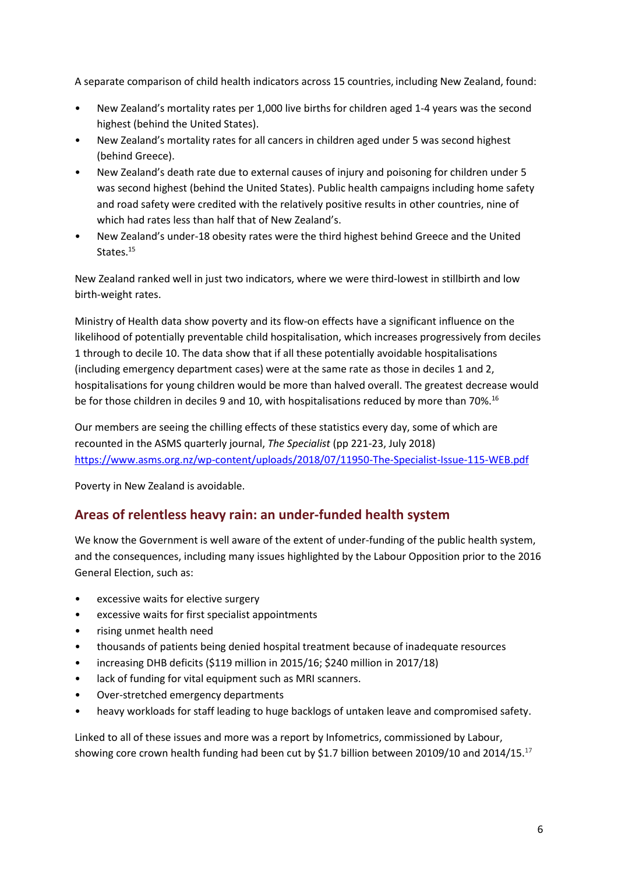A separate comparison of child health indicators across 15 countries, including New Zealand, found:

- New Zealand's mortality rates per 1,000 live births for children aged 1-4 years was the second highest (behind the United States).
- New Zealand's mortality rates for all cancers in children aged under 5 was second highest (behind Greece).
- New Zealand's death rate due to external causes of injury and poisoning for children under 5 was second highest (behind the United States). Public health campaigns including home safety and road safety were credited with the relatively positive results in other countries, nine of which had rates less than half that of New Zealand's.
- New Zealand's under-18 obesity rates were the third highest behind Greece and the United States.<sup>15</sup>

New Zealand ranked well in just two indicators, where we were third-lowest in stillbirth and low birth-weight rates.

Ministry of Health data show poverty and its flow-on effects have a significant influence on the likelihood of potentially preventable child hospitalisation, which increases progressively from deciles 1 through to decile 10. The data show that if all these potentially avoidable hospitalisations (including emergency department cases) were at the same rate as those in deciles 1 and 2, hospitalisations for young children would be more than halved overall. The greatest decrease would be for those children in deciles 9 and 10, with hospitalisations reduced by more than 70%.<sup>16</sup>

Our members are seeing the chilling effects of these statistics every day, some of which are recounted in the ASMS quarterly journal, *The Specialist* (pp 221-23, July 2018) <https://www.asms.org.nz/wp-content/uploads/2018/07/11950-The-Specialist-Issue-115-WEB.pdf>

Poverty in New Zealand is avoidable.

## **Areas of relentless heavy rain: an under-funded health system**

We know the Government is well aware of the extent of under-funding of the public health system, and the consequences, including many issues highlighted by the Labour Opposition prior to the 2016 General Election, such as:

- excessive waits for elective surgery
- excessive waits for first specialist appointments
- rising unmet health need
- thousands of patients being denied hospital treatment because of inadequate resources
- increasing DHB deficits (\$119 million in 2015/16; \$240 million in 2017/18)
- lack of funding for vital equipment such as MRI scanners.
- Over-stretched emergency departments
- heavy workloads for staff leading to huge backlogs of untaken leave and compromised safety.

Linked to all of these issues and more was a report by Infometrics, commissioned by Labour, showing core crown health funding had been cut by \$1.7 billion between 20109/10 and 2014/15.<sup>17</sup>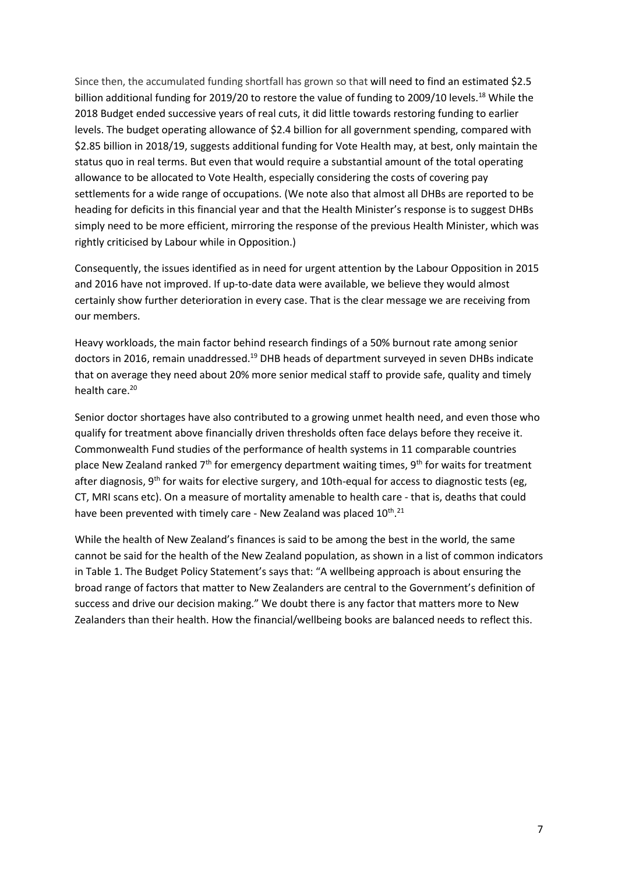Since then, the accumulated funding shortfall has grown so that will need to find an estimated \$2.5 billion additional funding for 2019/20 to restore the value of funding to 2009/10 levels.<sup>18</sup> While the 2018 Budget ended successive years of real cuts, it did little towards restoring funding to earlier levels. The budget operating allowance of \$2.4 billion for all government spending, compared with \$2.85 billion in 2018/19, suggests additional funding for Vote Health may, at best, only maintain the status quo in real terms. But even that would require a substantial amount of the total operating allowance to be allocated to Vote Health, especially considering the costs of covering pay settlements for a wide range of occupations. (We note also that almost all DHBs are reported to be heading for deficits in this financial year and that the Health Minister's response is to suggest DHBs simply need to be more efficient, mirroring the response of the previous Health Minister, which was rightly criticised by Labour while in Opposition.)

Consequently, the issues identified as in need for urgent attention by the Labour Opposition in 2015 and 2016 have not improved. If up-to-date data were available, we believe they would almost certainly show further deterioration in every case. That is the clear message we are receiving from our members.

Heavy workloads, the main factor behind research findings of a 50% burnout rate among senior doctors in 2016, remain unaddressed.<sup>19</sup> DHB heads of department surveyed in seven DHBs indicate that on average they need about 20% more senior medical staff to provide safe, quality and timely health care. 20

Senior doctor shortages have also contributed to a growing unmet health need, and even those who qualify for treatment above financially driven thresholds often face delays before they receive it. Commonwealth Fund studies of the performance of health systems in 11 comparable countries place New Zealand ranked 7<sup>th</sup> for emergency department waiting times, 9<sup>th</sup> for waits for treatment after diagnosis,  $9<sup>th</sup>$  for waits for elective surgery, and 10th-equal for access to diagnostic tests (eg, CT, MRI scans etc). On a measure of mortality amenable to health care - that is, deaths that could have been prevented with timely care - New Zealand was placed 10<sup>th</sup>.<sup>21</sup>

While the health of New Zealand's finances is said to be among the best in the world, the same cannot be said for the health of the New Zealand population, as shown in a list of common indicators in Table 1. The Budget Policy Statement's says that: "A wellbeing approach is about ensuring the broad range of factors that matter to New Zealanders are central to the Government's definition of success and drive our decision making." We doubt there is any factor that matters more to New Zealanders than their health. How the financial/wellbeing books are balanced needs to reflect this.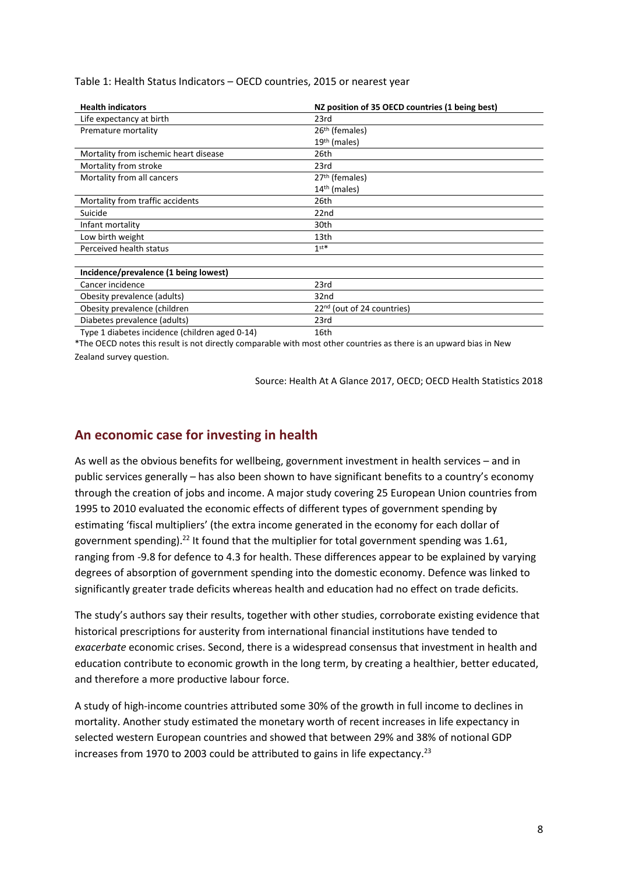| <b>Health indicators</b>                       | NZ position of 35 OECD countries (1 being best) |
|------------------------------------------------|-------------------------------------------------|
| Life expectancy at birth                       | 23rd                                            |
| Premature mortality                            | 26 <sup>th</sup> (females)                      |
|                                                | $19th$ (males)                                  |
| Mortality from ischemic heart disease          | 26th                                            |
| Mortality from stroke                          | 23rd                                            |
| Mortality from all cancers                     | 27 <sup>th</sup> (females)                      |
|                                                | 14 <sup>th</sup> (males)                        |
| Mortality from traffic accidents               | 26th                                            |
| Suicide                                        | 22 <sub>nd</sub>                                |
| Infant mortality                               | 30th                                            |
| Low birth weight                               | 13th                                            |
| Perceived health status                        | $1$ st*                                         |
|                                                |                                                 |
| Incidence/prevalence (1 being lowest)          |                                                 |
| Cancer incidence                               | 23rd                                            |
| Obesity prevalence (adults)                    | 32nd                                            |
| Obesity prevalence (children                   | 22 <sup>nd</sup> (out of 24 countries)          |
| Diabetes prevalence (adults)                   | 23rd                                            |
| Type 1 diabetes incidence (children aged 0-14) | 16th                                            |

\*The OECD notes this result is not directly comparable with most other countries as there is an upward bias in New Zealand survey question.

Source: Health At A Glance 2017, OECD; OECD Health Statistics 2018

## **An economic case for investing in health**

As well as the obvious benefits for wellbeing, government investment in health services – and in public services generally – has also been shown to have significant benefits to a country's economy through the creation of jobs and income. A major study covering 25 European Union countries from 1995 to 2010 evaluated the economic effects of different types of government spending by estimating 'fiscal multipliers' (the extra income generated in the economy for each dollar of government spending).<sup>22</sup> It found that the multiplier for total government spending was 1.61, ranging from -9.8 for defence to 4.3 for health. These differences appear to be explained by varying degrees of absorption of government spending into the domestic economy. Defence was linked to significantly greater trade deficits whereas health and education had no effect on trade deficits.

The study's authors say their results, together with other studies, corroborate existing evidence that historical prescriptions for austerity from international financial institutions have tended to *exacerbate* economic crises. Second, there is a widespread consensus that investment in health and education contribute to economic growth in the long term, by creating a healthier, better educated, and therefore a more productive labour force.

A study of high-income countries attributed some 30% of the growth in full income to declines in mortality. Another study estimated the monetary worth of recent increases in life expectancy in selected western European countries and showed that between 29% and 38% of notional GDP increases from 1970 to 2003 could be attributed to gains in life expectancy.<sup>23</sup>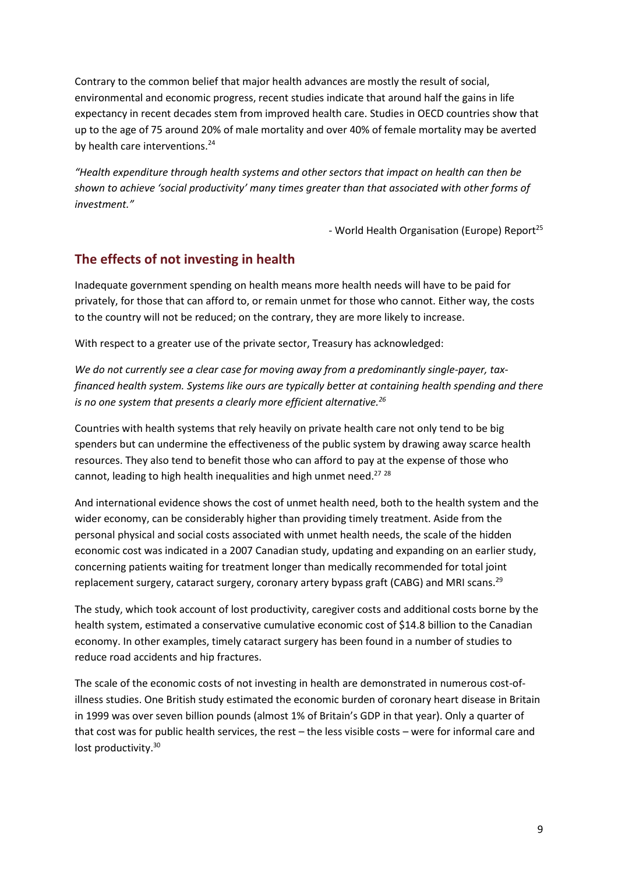Contrary to the common belief that major health advances are mostly the result of social, environmental and economic progress, recent studies indicate that around half the gains in life expectancy in recent decades stem from improved health care. Studies in OECD countries show that up to the age of 75 around 20% of male mortality and over 40% of female mortality may be averted by health care interventions.<sup>24</sup>

*"Health expenditure through health systems and other sectors that impact on health can then be shown to achieve 'social productivity' many times greater than that associated with other forms of investment."*

- World Health Organisation (Europe) Report<sup>25</sup>

# **The effects of not investing in health**

Inadequate government spending on health means more health needs will have to be paid for privately, for those that can afford to, or remain unmet for those who cannot. Either way, the costs to the country will not be reduced; on the contrary, they are more likely to increase.

With respect to a greater use of the private sector, Treasury has acknowledged:

*We do not currently see a clear case for moving away from a predominantly single-payer, taxfinanced health system. Systems like ours are typically better at containing health spending and there is no one system that presents a clearly more efficient alternative.<sup>26</sup>*

Countries with health systems that rely heavily on private health care not only tend to be big spenders but can undermine the effectiveness of the public system by drawing away scarce health resources. They also tend to benefit those who can afford to pay at the expense of those who cannot, leading to high health inequalities and high unmet need.<sup>27</sup> 28

And international evidence shows the cost of unmet health need, both to the health system and the wider economy, can be considerably higher than providing timely treatment. Aside from the personal physical and social costs associated with unmet health needs, the scale of the hidden economic cost was indicated in a 2007 Canadian study, updating and expanding on an earlier study, concerning patients waiting for treatment longer than medically recommended for total joint replacement surgery, cataract surgery, coronary artery bypass graft (CABG) and MRI scans.<sup>29</sup>

The study, which took account of lost productivity, caregiver costs and additional costs borne by the health system, estimated a conservative cumulative economic cost of \$14.8 billion to the Canadian economy. In other examples, timely cataract surgery has been found in a number of studies to reduce road accidents and hip fractures.

The scale of the economic costs of not investing in health are demonstrated in numerous cost-ofillness studies. One British study estimated the economic burden of coronary heart disease in Britain in 1999 was over seven billion pounds (almost 1% of Britain's GDP in that year). Only a quarter of that cost was for public health services, the rest – the less visible costs – were for informal care and lost productivity.<sup>30</sup>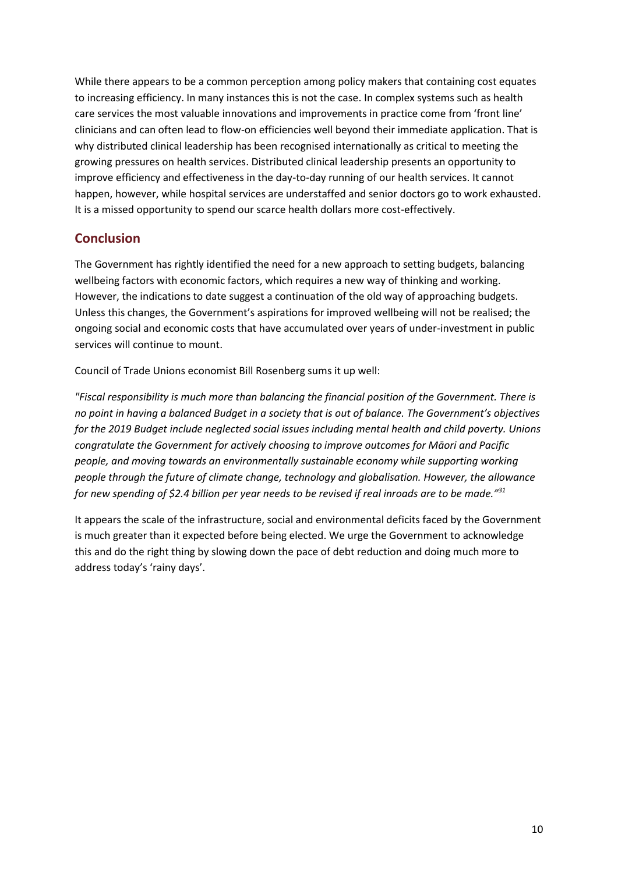While there appears to be a common perception among policy makers that containing cost equates to increasing efficiency. In many instances this is not the case. In complex systems such as health care services the most valuable innovations and improvements in practice come from 'front line' clinicians and can often lead to flow-on efficiencies well beyond their immediate application. That is why distributed clinical leadership has been recognised internationally as critical to meeting the growing pressures on health services. Distributed clinical leadership presents an opportunity to improve efficiency and effectiveness in the day-to-day running of our health services. It cannot happen, however, while hospital services are understaffed and senior doctors go to work exhausted. It is a missed opportunity to spend our scarce health dollars more cost-effectively.

## **Conclusion**

The Government has rightly identified the need for a new approach to setting budgets, balancing wellbeing factors with economic factors, which requires a new way of thinking and working. However, the indications to date suggest a continuation of the old way of approaching budgets. Unless this changes, the Government's aspirations for improved wellbeing will not be realised; the ongoing social and economic costs that have accumulated over years of under-investment in public services will continue to mount.

Council of Trade Unions economist Bill Rosenberg sums it up well:

*"Fiscal responsibility is much more than balancing the financial position of the Government. There is no point in having a balanced Budget in a society that is out of balance. The Government's objectives for the 2019 Budget include neglected social issues including mental health and child poverty. Unions congratulate the Government for actively choosing to improve outcomes for Māori and Pacific people, and moving towards an environmentally sustainable economy while supporting working people through the future of climate change, technology and globalisation. However, the allowance for new spending of \$2.4 billion per year needs to be revised if real inroads are to be made." 31*

It appears the scale of the infrastructure, social and environmental deficits faced by the Government is much greater than it expected before being elected. We urge the Government to acknowledge this and do the right thing by slowing down the pace of debt reduction and doing much more to address today's 'rainy days'.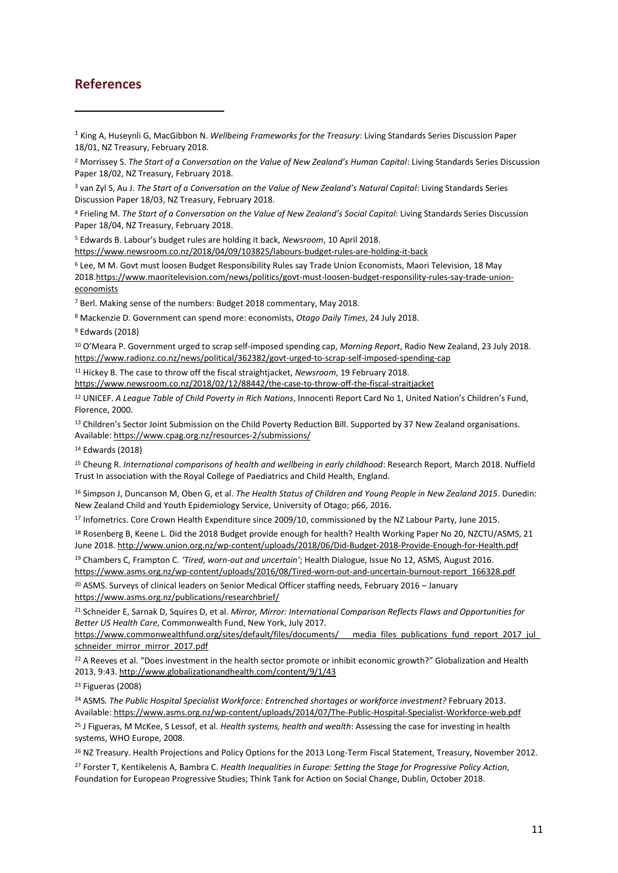### **References**

**.** 

<sup>1</sup> King A, Huseynli G, MacGibbon N. *Wellbeing Frameworks for the Treasury*: Living Standards Series Discussion Paper 18/01, NZ Treasury, February 2018.

<sup>4</sup> Frieling M. *The Start of a Conversation on the Value of New Zealand's Social Capital*: Living Standards Series Discussion Paper 18/04, NZ Treasury, February 2018.

<sup>5</sup> Edwards B. Labour's budget rules are holding it back, *Newsroom*, 10 April 2018. <https://www.newsroom.co.nz/2018/04/09/103825/labours-budget-rules-are-holding-it-back>

<sup>6</sup> Lee, M M. Govt must loosen Budget Responsibility Rules say Trade Union Economists, Maori Television, 18 May 201[8.https://www.maoritelevision.com/news/politics/govt-must-loosen-budget-responsility-rules-say-trade-union](https://www.maoritelevision.com/news/politics/govt-must-loosen-budget-responsility-rules-say-trade-union-economists)[economists](https://www.maoritelevision.com/news/politics/govt-must-loosen-budget-responsility-rules-say-trade-union-economists)

<sup>7</sup> Berl. Making sense of the numbers: Budget 2018 commentary, May 2018.

<sup>8</sup> Mackenzie D. Government can spend more: economists, *Otago Daily Times*, 24 July 2018.

<sup>9</sup> Edwards (2018)

<sup>10</sup> O'Meara P. Government urged to scrap self-imposed spending cap, *Morning Report*, Radio New Zealand, 23 July 2018. <https://www.radionz.co.nz/news/political/362382/govt-urged-to-scrap-self-imposed-spending-cap>

<sup>11</sup> Hickey B. The case to throw off the fiscal straightjacket, *Newsroom*, 19 February 2018.

<https://www.newsroom.co.nz/2018/02/12/88442/the-case-to-throw-off-the-fiscal-straitjacket>

<sup>12</sup> UNICEF. *A League Table of Child Poverty in Rich Nations*, Innocenti Report Card No 1, United Nation's Children's Fund, Florence, 2000.

13 Children's Sector Joint Submission on the Child Poverty Reduction Bill. Supported by 37 New Zealand organisations. Available[: https://www.cpag.org.nz/resources-2/submissions/](https://www.cpag.org.nz/resources-2/submissions/)

<sup>14</sup> Edwards (2018)

<sup>15</sup> Cheung R. *International comparisons of health and wellbeing in early childhood*: Research Report, March 2018. Nuffield Trust In association with the Royal College of Paediatrics and Child Health, England.

<sup>16</sup> Simpson J, Duncanson M, Oben G, et al. *The Health Status of Children and Young People in New Zealand 2015*. Dunedin: New Zealand Child and Youth Epidemiology Service, University of Otago; p66, 2016.

<sup>17</sup> Infometrics. Core Crown Health Expenditure since 2009/10, commissioned by the NZ Labour Party, June 2015.

<sup>18</sup> Rosenberg B, Keene L. Did the 2018 Budget provide enough for health? Health Working Paper No 20, NZCTU/ASMS, 21 June 2018. <http://www.union.org.nz/wp-content/uploads/2018/06/Did-Budget-2018-Provide-Enough-for-Health.pdf>

<sup>19</sup> Chambers C, Frampton C. *'Tired, worn-out and uncertain'*; Health Dialogue, Issue No 12, ASMS, August 2016. [https://www.asms.org.nz/wp-content/uploads/2016/08/Tired-worn-out-and-uncertain-burnout-report\\_166328.pdf](https://www.asms.org.nz/wp-content/uploads/2016/08/Tired-worn-out-and-uncertain-burnout-report_166328.pdf)

<sup>20</sup> ASMS. Surveys of clinical leaders on Senior Medical Officer staffing needs, February 2016 - January <https://www.asms.org.nz/publications/researchbrief/>

<sup>21</sup> Schneider E, Sarnak D, Squires D, et al. *Mirror, Mirror: International Comparison Reflects Flaws and Opportunities for Better US Health Care*, Commonwealth Fund, New York, July 2017.

https://www.commonwealthfund.org/sites/default/files/documents/\_\_\_media\_files\_publications\_fund\_report\_2017\_jul [schneider\\_mirror\\_mirror\\_2017.pdf](https://www.commonwealthfund.org/sites/default/files/documents/___media_files_publications_fund_report_2017_jul_schneider_mirror_mirror_2017.pdf)

<sup>22</sup> A Reeves et al. "Does investment in the health sector promote or inhibit economic growth?" Globalization and Health 2013, 9:43.<http://www.globalizationandhealth.com/content/9/1/43>

<sup>23</sup> Figueras (2008)

<sup>24</sup> ASMS. The Public Hospital Specialist Workforce: Entrenched shortages or workforce investment? February 2013. Available[: https://www.asms.org.nz/wp-content/uploads/2014/07/The-Public-Hospital-Specialist-Workforce-web.pdf](https://www.asms.org.nz/wp-content/uploads/2014/07/The-Public-Hospital-Specialist-Workforce-web.pdf)

<sup>25</sup> J Figueras, M McKee, S Lessof, et al. *Health systems, health and wealth*: Assessing the case for investing in health systems, WHO Europe, 2008.

<sup>26</sup> NZ Treasury. Health Projections and Policy Options for the 2013 Long-Term Fiscal Statement, Treasury, November 2012.

<sup>27</sup> Forster T, Kentikelenis A, Bambra C. *Health Inequalities in Europe: Setting the Stage for Progressive Policy Action,*  Foundation for European Progressive Studies; Think Tank for Action on Social Change, Dublin, October 2018.

<sup>2</sup> Morrissey S. *The Start of a Conversation on the Value of New Zealand's Human Capital*: Living Standards Series Discussion Paper 18/02, NZ Treasury, February 2018.

<sup>3</sup> van Zyl S, Au J. *The Start of a Conversation on the Value of New Zealand's Natural Capital*: Living Standards Series Discussion Paper 18/03, NZ Treasury, February 2018.